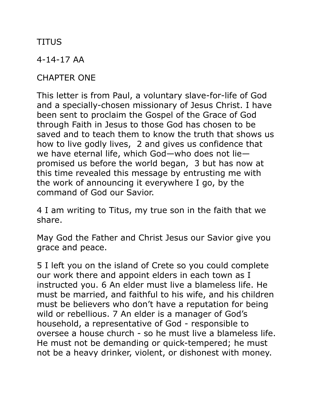TITUS

## 4-14-17 AA

CHAPTER ONE

This letter is from Paul, a voluntary slave-for-life of God and a specially-chosen missionary of Jesus Christ. I have been sent to proclaim the Gospel of the Grace of God through Faith in Jesus to those God has chosen to be saved and to teach them to know the truth that shows us how to live godly lives, 2 and gives us confidence that we have eternal life, which God—who does not lie promised us before the world began, 3 but has now at this time revealed this message by entrusting me with the work of announcing it everywhere I go, by the command of God our Savior.

4 I am writing to Titus, my true son in the faith that we share.

May God the Father and Christ Jesus our Savior give you grace and peace.

5 I left you on the island of Crete so you could complete our work there and appoint elders in each town as I instructed you. 6 An elder must live a blameless life. He must be married, and faithful to his wife, and his children must be believers who don't have a reputation for being wild or rebellious. 7 An elder is a manager of God's household, a representative of God - responsible to oversee a house church - so he must live a blameless life. He must not be demanding or quick-tempered; he must not be a heavy drinker, violent, or dishonest with money.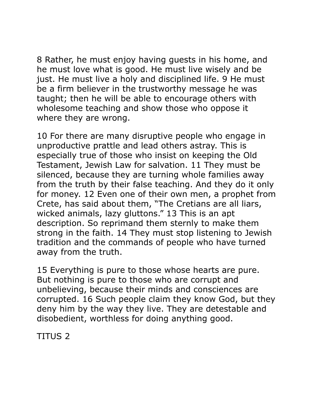8 Rather, he must enjoy having guests in his home, and he must love what is good. He must live wisely and be just. He must live a holy and disciplined life. 9 He must be a firm believer in the trustworthy message he was taught; then he will be able to encourage others with wholesome teaching and show those who oppose it where they are wrong.

10 For there are many disruptive people who engage in unproductive prattle and lead others astray. This is especially true of those who insist on keeping the Old Testament, Jewish Law for salvation. 11 They must be silenced, because they are turning whole families away from the truth by their false teaching. And they do it only for money. 12 Even one of their own men, a prophet from Crete, has said about them, "The Cretians are all liars, wicked animals, lazy gluttons." 13 This is an apt description. So reprimand them sternly to make them strong in the faith. 14 They must stop listening to Jewish tradition and the commands of people who have turned away from the truth.

15 Everything is pure to those whose hearts are pure. But nothing is pure to those who are corrupt and unbelieving, because their minds and consciences are corrupted. 16 Such people claim they know God, but they deny him by the way they live. They are detestable and disobedient, worthless for doing anything good.

TITUS 2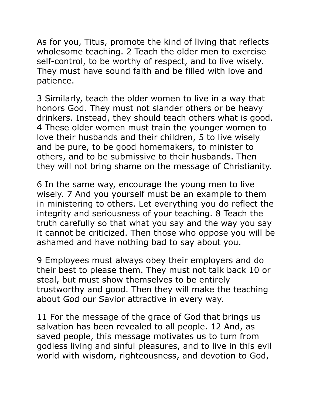As for you, Titus, promote the kind of living that reflects wholesome teaching. 2 Teach the older men to exercise self-control, to be worthy of respect, and to live wisely. They must have sound faith and be filled with love and patience.

3 Similarly, teach the older women to live in a way that honors God. They must not slander others or be heavy drinkers. Instead, they should teach others what is good. 4 These older women must train the younger women to love their husbands and their children, 5 to live wisely and be pure, to be good homemakers, to minister to others, and to be submissive to their husbands. Then they will not bring shame on the message of Christianity.

6 In the same way, encourage the young men to live wisely. 7 And you yourself must be an example to them in ministering to others. Let everything you do reflect the integrity and seriousness of your teaching. 8 Teach the truth carefully so that what you say and the way you say it cannot be criticized. Then those who oppose you will be ashamed and have nothing bad to say about you.

9 Employees must always obey their employers and do their best to please them. They must not talk back 10 or steal, but must show themselves to be entirely trustworthy and good. Then they will make the teaching about God our Savior attractive in every way.

11 For the message of the grace of God that brings us salvation has been revealed to all people. 12 And, as saved people, this message motivates us to turn from godless living and sinful pleasures, and to live in this evil world with wisdom, righteousness, and devotion to God,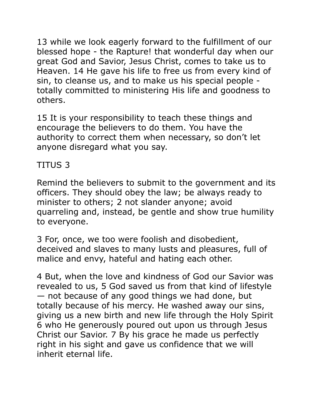13 while we look eagerly forward to the fulfillment of our blessed hope - the Rapture! that wonderful day when our great God and Savior, Jesus Christ, comes to take us to Heaven. 14 He gave his life to free us from every kind of sin, to cleanse us, and to make us his special people totally committed to ministering His life and goodness to others.

15 It is your responsibility to teach these things and encourage the believers to do them. You have the authority to correct them when necessary, so don't let anyone disregard what you say.

## TITUS 3

Remind the believers to submit to the government and its officers. They should obey the law; be always ready to minister to others; 2 not slander anyone; avoid quarreling and, instead, be gentle and show true humility to everyone.

3 For, once, we too were foolish and disobedient, deceived and slaves to many lusts and pleasures, full of malice and envy, hateful and hating each other.

4 But, when the love and kindness of God our Savior was revealed to us, 5 God saved us from that kind of lifestyle — not because of any good things we had done, but totally because of his mercy. He washed away our sins, giving us a new birth and new life through the Holy Spirit 6 who He generously poured out upon us through Jesus Christ our Savior. 7 By his grace he made us perfectly right in his sight and gave us confidence that we will inherit eternal life.